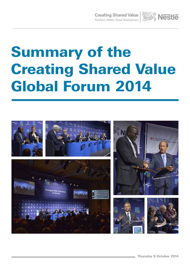**Creating Shared Value AVA Nestle** 



# Summary of the Creating Shared Value Global Forum 2014

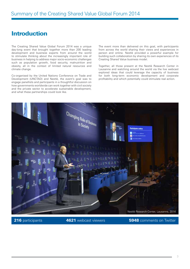#### Introduction

The Creating Shared Value Global Forum 2014 was a unique day-long event that brought together more than 200 leading development and business experts from around the world to stimulate thinking about the increasingly important role of business in helping to address major socio-economic challenges such as population growth, food security, malnutrition and obesity, all in the context of limited natural resources and climate change.

Co-organised by the United Nations Conference on Trade and Development (UNCTAD) and Nestlé, the event's goal was to engage panellists and participants in a thoughtful discussion on how governments worldwide can work together with civil society and the private sector to accelerate sustainable development, and what these partnerships could look like.

The event more than delivered on this goal, with participants from across the world sharing their views and experiences in person and online. Nestlé provided a powerful example for building such collaboration by sharing its own experiences of its Creating Shared Value business model.

Together, all those present at the Nestlé Research Center in Lausanne and watching around the world via the live webcast explored ideas that could leverage the capacity of business for both long-term economic development and corporate profitability and which potentially could stimulate real action.



216 participants

**4621** webcast viewers **5948** comments on Twitter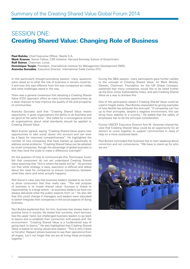## SESSION ONE: Creating Shared Value: Changing Role of Business

Paul Bulcke, Chief Executive Officer, Nestlé S.A. **Mark Kramer**, Senior Fellow, CSR Initiative, Harvard Kennedy School of Government Rolf Soiron, Chairman, Lonza **Dominique Turpin**, President, International Institute for Management Development (IMD) Arancha González, Executive Director, International Trade Centre (ITC)

In this particularly thought-provoking session, many questions were raised as to what the role of business in society could be, if and how this was different from the way companies act today and what challenges stand in the way.

There was a general consensus that adopting a Creating Shared Value (CSV) approach offers as many business opportunities as it does chances to help improve the quality of life and prosperity of communities.

Arancha Gonzalez said that "Creating Shared Value means opportunity. It gives organizations the ability to do business and do good at the same time". She called for a convergence across all organizations about what standards should be applied to Creating Shared Value.

Mark Kramer agreed, saying "Creating Shared Value opens new opportunities to take social issues into account and can even be a basis for improved competitiveness". He highlighted the number of new companies that have started up specifically to address social problems. "Creating Shared Value can be adopted by small companies, though the advantage of global business is that they have the scale to make a difference overnight".

On the question of how to communicate this, Dominique Turpin felt that consumers do not yet understand Creating Shared Value asserting that "this is where the battle will be". He pointed out that while strategy is easy, execution is difficult and talked about the need for companies to ensure consistency between what they claim and what actually happens.

Rolf Soiron's view was that business leaders needed to do more to show consumers that they really care. "The real purpose of business is to create shared value. Success is linked to responsibility to a large extent – as business leaders we have not always delivered what the public expects from us." He also felt that this could change if managers and leaders were educated to better integrate their companies in the social aspects of doing business.

Paul Bulcke explained that, for him, business has always been a positive force in society. He stated that currently, short-termism has the upper hand, but challenged business leaders to go back to basics and re-establish their connection with people and the environment. "Creating Shared Value is a fundamental way of going back to basics." He also highlighted that Creating Shared Value is based on strong values and respect: "This is why it feels so forceful. Respect allows business to see their operations from all angles. Let's not forget that we are all living these principles together."

During the Q&A session, many participants gave further validity to the concept of Creating Shared Value. Sir Mark Moody-Stewart, Chairman, Foundation for the UN Global Compact, explained that many companies would like to be listed further up the Dow Jones Sustainability Index, and saw Creating Shared Value as a way to achieve this.

One of the participants asked if Creating Shared Value could be used in fragile states. Paul Bulcke responded by giving examples of how Nestlé has achieved this and said: "If companies can live up to their principles, despite a negative environment, this can bring more stability to a country." He added that the safety of employees has to be the principal consideration.

Former UNICEF Executive Director Ann M. Veneman shared her view that Creating Shared Value could be an opportunity for all sectors to come together to support communities in need of help on a more sustained basis.

Paul Bulcke concluded that business has to start speaking about conviction and not convenience. "We have to stand up for who we are."

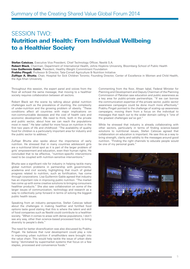# **SESSION TWO:** Nutrition and Health: From Individual Wellbeing to a Healthier Society

Stefan Catsicas, Executive Vice President, Chief Technology Officer, Nestlé S.A. Robert Black, Chairman, Department of International Health, Johns Hopkins University, Bloomberg School of Public Health Lisa Guillermin Gable, President, Healthy Weight Commitment Foundation **Prabhu Pingali**, Professor & Director, Tata-Cornell Agriculture & Nutrition Initiative Zulfiqar A. Bhutta, Chair, Hospital for Sick Children Toronto; Founding Director, Center of Excellence in Women and Child Health, the Aga Khan University

Throughout this session, the expert panel and voices from the floor all echoed the same message; that moving to a healthier society requires collaboration between all sectors.

Robert Black set the scene by talking about global nutrition challenges such as the prevalence of stunting, the complexity of under-nutrition and the growing problem of obesity. "These conditions affect all countries with major implications on non-communicable deceases and the cost of health care and economic development. We need to think, both in the private and public sector, about how we can reach the populations most in need." He later called for more focus on nutrition in the first two years of life and childhood: "The availability of quality food for children is a particularly important area for industry and the public sector to address."

Zulfiqar Bhutta also spoke about the importance of early nutrition. He stressed that in many countries adolescent girls are a nutritional blind spot as it is part of the larger problem of girls' empowerment and education, even their human rights. He concluded that to be effective, "nutrition-specific interventions need to be coupled with nutrition-sensitive interventions."

Bhutta saw a significant role for industry in helping tackle many global nutrition problems in partnership with governments, academia and civil society, highlighting that much of global progress related to nutrition, such as fortification, has come through corporations. Lisa Guillermin Gable agreed that industry has an important role in improving public nutrition: "The market has come up with some creative solutions to bringing consumers healthier products." She also saw collaboration on some of the larger issues of communication, technology and research as a way to collectively jump forward in terms of solving the biggest public health issues.

Speaking from an industry perspective, Stefan Catsicas talked about the challenges in making healthier and fortified food options taste good stating that this is where the talent and skill of food companies such as Nestlé could contribute to a healthier society. "When it comes to areas with dense populations, I don't see any way, other than science-based processed food, to bring diversity to people's diets."

The need for better diversification was also discussed by Prabhu Pingali. He believes that rural development could play a role in improving urban nutrition if smallholders were brought into the value chain. This would help tackle the issue of urban diets being "dominated by supermarket systems that focus on a few staples, processed and convenience foods."

Commenting from the floor, Ahsan Iqbal, Federal Minister for Planning and Development and Deputy Chairman of the Planning Commission of Pakistan saw education and public awareness as a key area for public-private partnerships. "If we can borrow the communication expertise of the private sector, public sector awareness campaigns could be done much more effectively." Prabhu Pingali pointed to the challenge of scaling-up awareness campaigns; moving them from a focus on the individual to messages that reach out to the wider domain calling it "one of the greatest challenges we've got."

While he stressed that industry is already collaborating with other sectors, particularly in terms of finding science-based solutions to nutritional issues, Stefan Catsicas agreed that collaboration on education is important. He saw this as a way to bring strength, clarity and validity to the messages around good nutrition. "Finding the right channels to educate people would be one of my personal goals."

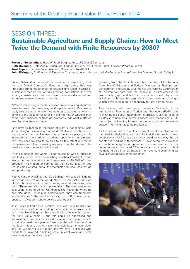### SESSION THREE: Sustainable Agriculture and Supply Chains: How to Meet Twice the Demand with Finite Resources by 2030?

Puvan J. Selvanathan, Head of Food & Agriculture, UN Global Compact Ruth Oniang'o, Professor in Agriculture; Founder & Executive Director, Rural Outreach Program, Kenya José Lopez, Executive Vice President, Operations, Nestlé S.A. John Elkington, Co-Founder & Executive Chairman, Volans Ventures Ltd; Co-Founder & Non-Executive Director, SustainAbility Ltd

Puvan Selvanathan opened the session by explaining how the UN Global Compact's Food and Agriculture Business Principles brings together all the issues being faced in terms of sustainably feeding the world's growing populations and was adding consistency in the way these issues are discussed and addressed across all sectors globally.

"What is interesting is that businesses are now talking about the same issues in the same way as the public sector. Business is really part of the game now." He went on to explain that when it comes to the issue of resources, it did not matter whether they came from business or from governments, but what mattered was that they have an impact.

"We have to recognise the scale of what is happening," said John Elkington, explaining that we don't always see the size of the issues around us. He sees rural populations playing a role in supporting the nutrition of urban populations, but stressed that they need training to be able to do this effectively. While companies are already playing a role in this, he stressed the need for governments to be involved.

On the subject of food waste, Elkington said he was surprised to find that supermarkets were wasting less than 1% of all the food wasted in the UK whereas consumers wasted 30-40% of some products. The moderator pointed out that it's not just the food that is being wasted, but all the materials and resources that go into producing it.

Ruth Oniang'o explained that Sub-Saharan Africa is still lagging far behind the rest of the world. "Here, it's not just a question of food, but a question of transforming rural communities," she said. "There are still many opportunities." She sees agriculture as a useful starting point. "Companies like Nestlé go where no one else goes. By helping smallholders, they can transform whole villages." She went on to say that, "Business cannot operate in a vacuum where policy does not exist."

Jose Lopez talked about Nestlé's work with smallholders and the importance of demonstrating the impact that improvements can make. He highlighted that there is a lot of waste throughout the food value chain – but this could be addressed and improvements in this area should be seen as an opportunity to sustainably feed more people. "We have the obligation to show that it can happen, that we have the knowledge, the technology and the will to make it happen and we have to discuss who needs to be involved in helping scale up what works and scale down waste in the value chain."

Speaking from the floor, Ahsan Iqbal, member of the National Assembly of Pakistan and Federal Minister for Planning and Development and Deputy Chairman of the Planning Commission of Pakistan said that "The real challenge in rural areas is the productivity gap," and felt that companies could play a role in helping to bridge this gap. He also saw business playing a valuable role in helping to get energy to rural communities.

Ajay Vashee, who was most recently President of the International Federation of Agricultural Producers (IFAP), said: "I think public policy intervention is crucial. It can be used as a catalyst to help small farmers access new technologies." On the subject of keeping farmers on the land, he had one simple answer: "Farming has to be profitable."

As the session drew to a close, several panellists talked about the need to shake things up and look at the issues from new perspectives. José Lopez was encouraged by the way the UN has started working with business: "Never before have we seen so much convergence or agreement between sectors that the outcome has to be shared." The moderator concluded: "I think we need to be a little bit impatient to make sure everything we have discussed does come together."

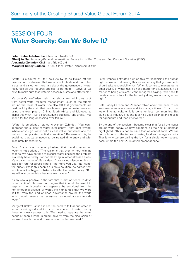### SESSION FOUR Water Scarcity: Can We Solve It?

Peter Brabeck-Letmathe, Chairman, Nestlé S.A. Elhadj As Sy, Secretary-General, International Federation of Red Cross and Red Crescent Societies (IFRC) Alexander Zehnder, Chairman, Triple Z Ltd Margaret Catley-Carlson, Patron, Global Water Partnership (GWP)

"Water is a source of life," said As Sy as he kicked off the discussion. He stressed that water is not infinite and that it has a cost and called for more talk about the governance of water resources as this requires choices to be made. "Above all we have to make sure that water is accessible, safe and affordable."

Margaret Catley-Carlson said that taboos are holding us back from better water resource management, such as the stigma around the reuse of water. She also felt that governments are held back by the myth that people won't pay for water services, using the examples of China, South Africa and Morocco to dispel this myth. "Let's start studying success," she urged. "We spend far too long obsessing over failure."

"Water is emotional," stated Alexander Zehnder. "You can't approach the subject of water intelligently – that goes wrong. Wherever you go, water not only has value, but values and this makes it complicated to find a solution." Because of this, he explained that water needs to be treated differently and with absolutely transparency.

Peter Brabeck-Letmathe emphasized that the discussion on water is not optional. "The reality is that even without climate change, we have no time to discuss water because the problem is already here, today. For people living in water-stressed areas, it's a daily matter of life or death." He called diseconomies of scale for rare resources where "the more you use, the higher the price". While this seems a simple solution, he agreed that emotion is the biggest obstacle to effective water policy. "But we will overcome this – because we have to."

As Sy saw a positive in the fact that "Emotion tends to drive us into action". He went on to agree that it would be useful to segment the discussion and separate the emotional from the non-emotional aspects of water. He highlighted that we were still far from the kind of good governance around the world which would ensure that everyone has equal access to safe water."

Margaret Catley-Carlson raised the need to talk about water as an economic good and to focus the context of water use by those with easy access to it. "We need to separate the acute needs of people living in abject poverty from the discussion or we won't reach the kind of water reforms that we need."

Peter Brabeck-Letmathe built on this by recognizing the human right to water, but seeing this as something that governments should take responsibility for. "When it comes to managing the other 98.5% of water use it's not a matter or privatization, it's a matter of being efficient." Zehnder agreed saying, "we need to create a new culture for the future by doing water management right.'

Both Catley-Carlson and Zehnder talked about the need to see wastewater as a resource and to manage it well. "If you put water into agriculture, it is gone for local communities. But giving it to industry first and it can be used cleaned and reused for agriculture and food afterwards."

By the end of the session it became clear that for all the issues around water today, we have solutions, as the Nestlé Chairman highlighted: "This is not an issue that we cannot solve. We can find solutions to the issues of water, food and energy security. That is why we are calling the UN for a single water-focused goal, within the post-2015 development agenda."

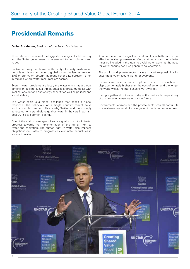#### Presidential Remarks

**Didier Burkhalter**, President of the Swiss Confederation

This water crisis is one of the biggest challenges of 21st century and the Swiss government is determined to find solutions and to act.

Switzerland may be blessed with plenty of quality fresh water, but it is not is not immune to global water challenges. Around 80% of our water footprint happens beyond its borders – often in regions where water resources are scarce.

Even if water problems are local, the water crisis has a global dimension. It is not just a threat, but also a threat multiplier with implications on food and energy security as well as political and social stability.

The water crisis is a global challenge that needs a global response. The behaviour of a single country cannot solve such a complex problem. This is why Switzerland has strongly advocated for a stand-alone goal on water in the very important post-2015 development agenda.

One of the main advantages of such a goal is that it will foster progress towards the implementation of the human right to water and sanitation. The human right to water also imposes obligations on States to progressively eliminate inequalities in access to water.

Another benefit of the goal is that it will foster better and more effective water governance. Cooperation across boundaries must be included in the goal to avoid water wars, as the need for water sharing can also generate collaboration.

The public and private sector have a shared responsibility for ensuring a water-secure world for everyone.

Business as usual is not an option. The cost of inaction is disproportionately higher than the cost of action and the longer the world waits, the more expensive it will get.

Caring together about water today is the best and cheapest way of guaranteeing clean water for the future.

Governments, citizens and the private sector can all contribute to a water-secure world for everyone. It needs to be done now.

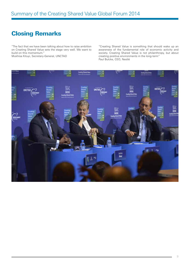# Closing Remarks

"The fact that we have been talking about how to raise ambition on Creating Shared Value sets the stage very well. We want to build on this momentum."

Mukhisa Kituyi, Secretary-General, UNCTAD

"Creating Shared Value is something that should wake up an awareness of the fundamental role of economic activity and society. Creating Shared Value is not philanthropy, but about creating positive environments in the long-term" Paul Bulcke, CEO, Nestlé

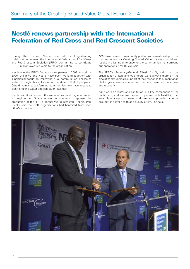#### Nestlé renews partnership with the International Federation of Red Cross and Red Crescent Societies

During the Forum, Nestlé renewed its long-standing collaboration between the International Federation of Red Cross and Red Crescent Societies (IFRC), committing to contribute CHF 5 million over five years to the organisation.

Nestlé was the IFRC's first corporate partner in 2002. And since 2006, the IFRC and Nestlé have been working together with a particular focus on improving rural communities' access to water. Through this collaboration, to date, 100,000 people in Côte d'Ivoire's cocoa farming communities now have access to clean drinking water and sanitation facilities.

Nestlé said it will expand the water access and hygiene project to neighbouring Ghana as well as continue to sponsor the production of the IFRC's annual World Disasters Report. Paul Bulcke said that both organisations had benefited from each other's expertise.

"We have moved from a purely philanthropic relationship to one that embodies our Creating Shared Value business model and results in a lasting difference for the communities that surround our operations," Mr Bulcke said.

The IFRC's Secretary-General Elhadj As Sy said that the organisation's staff and volunteers were always there on the side of communities in support of their response to humanitarian challenges across a continuum of crises prevention, response and recovery.

"Our work on water and sanitation is a key component of the continuum, and we are pleased to partner with Nestlé in that area. Safe access to water and sanitation provides a fertile ground for better health and quality of life," he said.

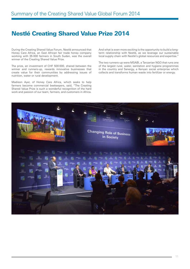#### Nestlé Creating Shared Value Prize 2014

During the Creating Shared Value Forum, Nestlé announced that Honey Care Africa, an East African fair trade honey company working with 35 000 farmers in South Sudan, was the overall winner of the Creating Shared Value Prize.

The prize, an investment of CHF 500 000, shared between the winner and runners-up, rewards innovative businesses that create value for their communities by addressing issues of nutrition, water or rural development.

Madison Ayer, of Honey Care Africa, which seeks to help farmers become commercial beekeepers, said, "The Creating Shared Value Prize is such a wonderful recognition of the hard work and passion of our team, farmers, and customers in Africa. And what is even more exciting is the opportunity to build a longterm relationship with Nestlé, as we leverage our sustainable local supply chain with Nestlé's global resources and expertise."

The two runners-up were MSABI, a Tanzanian NGO that runs one of the largest rural, water, sanitation and hygiene programmes in the country and Sanergy, a Kenyan social enterprise which collects and transforms human waste into fertilizer or energy.

![](_page_10_Picture_7.jpeg)